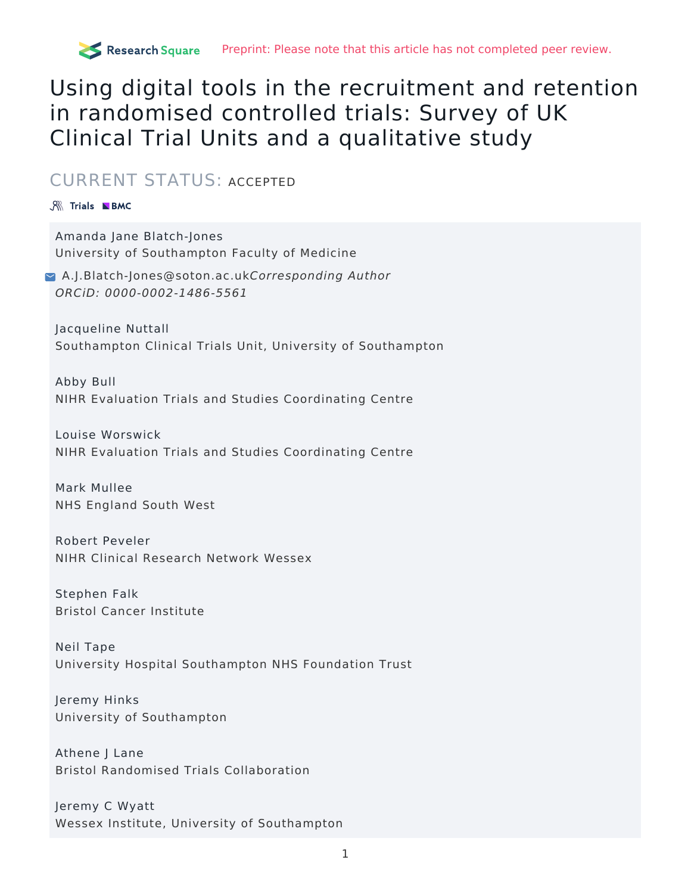# Using digital tools in the recruitment and retention in randomised controlled trials: Survey of UK Clinical Trial Units and a qualitative study

## CURRENT STATUS: ACCEPTED

## **SK Trials NBMC**

Amanda Jane Blatch-Jones University of Southampton Faculty of Medicine

[A.J.Blatch-Jones@soton.ac.uk](mailto:A.J.Blatch-Jones@soton.ac.uk)Corresponding Author ORCiD: 0000-0002-1486-5561

Jacqueline Nuttall Southampton Clinical Trials Unit, University of Southampton

Abby Bull NIHR Evaluation Trials and Studies Coordinating Centre

Louise Worswick NIHR Evaluation Trials and Studies Coordinating Centre

Mark Mullee NHS England South West

Robert Peveler NIHR Clinical Research Network Wessex

Stephen Falk Bristol Cancer Institute

Neil Tape University Hospital Southampton NHS Foundation Trust

Jeremy Hinks University of Southampton

Athene J Lane Bristol Randomised Trials Collaboration

Jeremy C Wyatt Wessex Institute, University of Southampton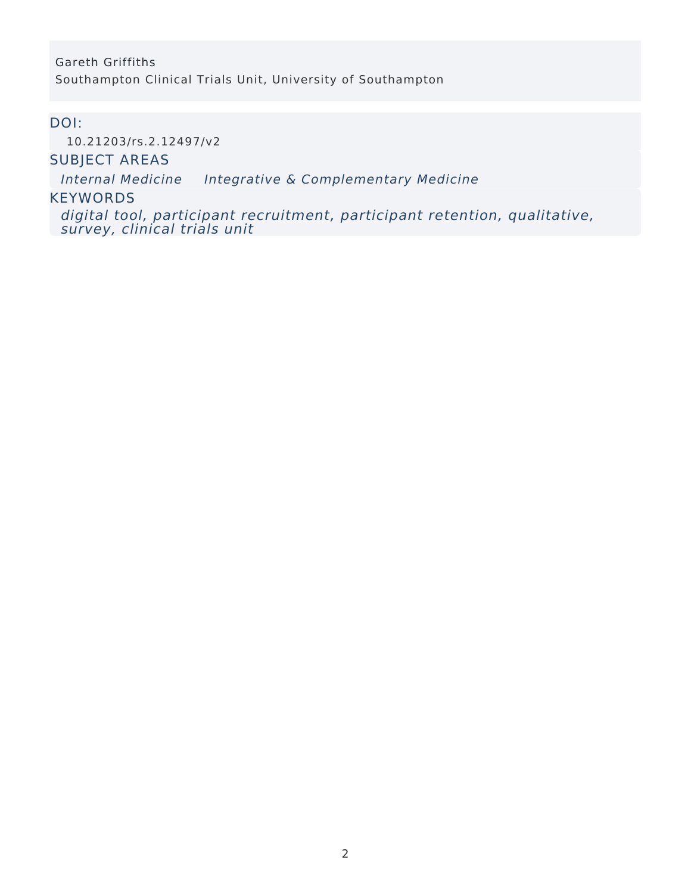## Gareth Griffiths Southampton Clinical Trials Unit, University of Southampton

## DOI:

[10.21203/rs.2.12497/v2](https://dx.doi.org/10.21203/rs.2.12497/v2)

## SUBJECT AREAS

Internal [Medicine](https://www.researchsquare.com/browse?subjectArea=Internal%20Medicine) Integrative & [Complementary](https://www.researchsquare.com/browse?subjectArea=Integrative%20%26%20Complementary%20Medicine) Medicine

## **KEYWORDS**

digital tool, participant recruitment, participant retention, qualitative, survey, clinical trials unit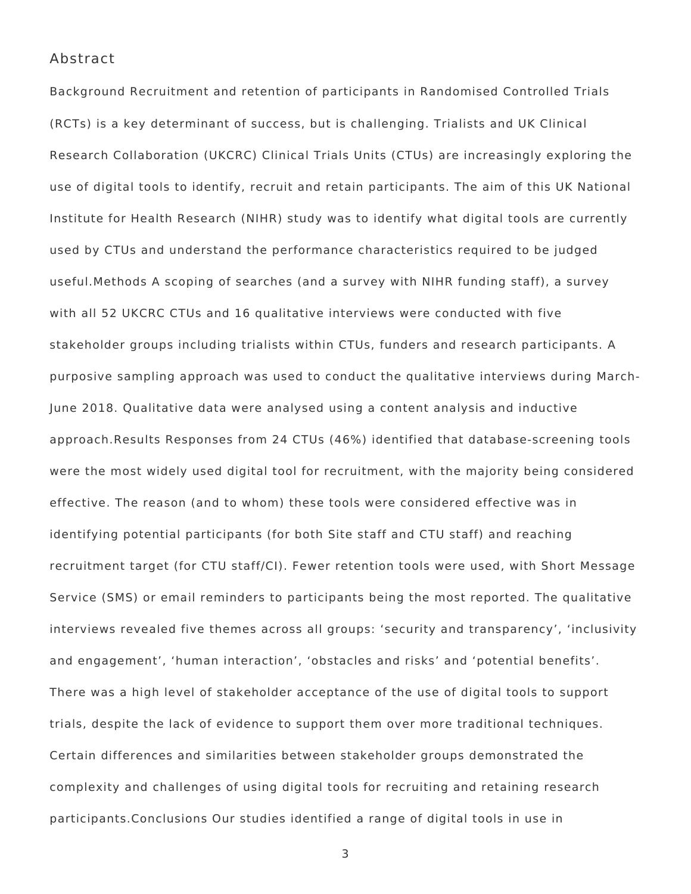## Abstract

Background Recruitment and retention of participants in Randomised Controlled Trials (RCTs) is a key determinant of success, but is challenging. Trialists and UK Clinical Research Collaboration (UKCRC) Clinical Trials Units (CTUs) are increasingly exploring the use of digital tools to identify, recruit and retain participants. The aim of this UK National Institute for Health Research (NIHR) study was to identify what digital tools are currently used by CTUs and understand the performance characteristics required to be judged useful.Methods A scoping of searches (and a survey with NIHR funding staff), a survey with all 52 UKCRC CTUs and 16 qualitative interviews were conducted with five stakeholder groups including trialists within CTUs, funders and research participants. A purposive sampling approach was used to conduct the qualitative interviews during March-June 2018. Qualitative data were analysed using a content analysis and inductive approach.Results Responses from 24 CTUs (46%) identified that database-screening tools were the most widely used digital tool for recruitment, with the majority being considered effective. The reason (and to whom) these tools were considered effective was in identifying potential participants (for both Site staff and CTU staff) and reaching recruitment target (for CTU staff/CI). Fewer retention tools were used, with Short Message Service (SMS) or email reminders to participants being the most reported. The qualitative interviews revealed five themes across all groups: 'security and transparency', 'inclusivity and engagement', 'human interaction', 'obstacles and risks' and 'potential benefits'. There was a high level of stakeholder acceptance of the use of digital tools to support trials, despite the lack of evidence to support them over more traditional techniques. Certain differences and similarities between stakeholder groups demonstrated the complexity and challenges of using digital tools for recruiting and retaining research participants.Conclusions Our studies identified a range of digital tools in use in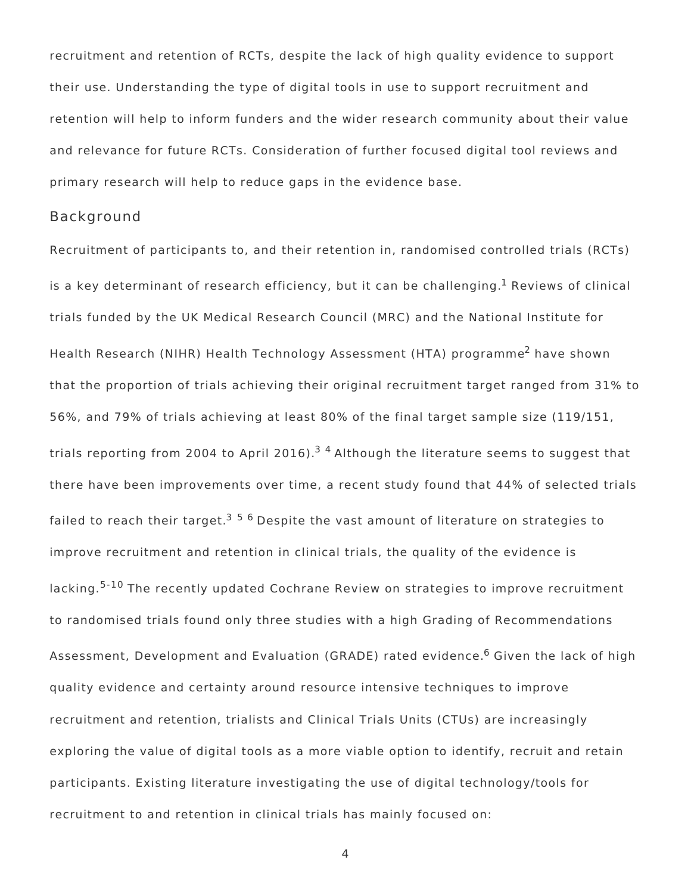recruitment and retention of RCTs, despite the lack of high quality evidence to support their use. Understanding the type of digital tools in use to support recruitment and retention will help to inform funders and the wider research community about their value and relevance for future RCTs. Consideration of further focused digital tool reviews and primary research will help to reduce gaps in the evidence base.

#### Background

Recruitment of participants to, and their retention in, randomised controlled trials (RCTs) is a key determinant of research efficiency, but it can be challenging. $^{\rm 1}$  Reviews of clinical trials funded by the UK Medical Research Council (MRC) and the National Institute for Health Research (NIHR) Health Technology Assessment (HTA) programme<sup>2</sup> have shown that the proportion of trials achieving their original recruitment target ranged from 31% to 56%, and 79% of trials achieving at least 80% of the final target sample size (119/151, trials reporting from 2004 to April 2016).<sup>34</sup> Although the literature seems to suggest that there have been improvements over time, a recent study found that 44% of selected trials failed to reach their target.<sup>356</sup> Despite the vast amount of literature on strategies to improve recruitment and retention in clinical trials, the quality of the evidence is lacking.<sup>5-10</sup> The recently updated Cochrane Review on strategies to improve recruitment to randomised trials found only three studies with a high Grading of Recommendations Assessment, Development and Evaluation (GRADE) rated evidence.<sup>6</sup> Given the lack of high quality evidence and certainty around resource intensive techniques to improve recruitment and retention, trialists and Clinical Trials Units (CTUs) are increasingly exploring the value of digital tools as a more viable option to identify, recruit and retain participants. Existing literature investigating the use of digital technology/tools for recruitment to and retention in clinical trials has mainly focused on: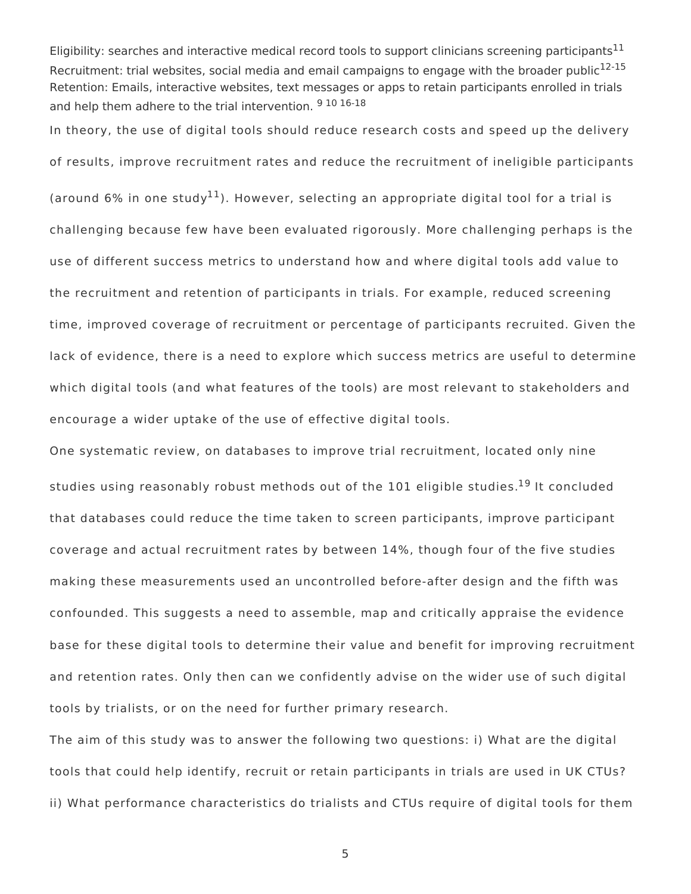Eligibility: searches and interactive medical record tools to support clinicians screening participants<sup>11</sup> Recruitment: trial websites, social media and email campaigns to engage with the broader public<sup>12-15</sup> Retention: Emails, interactive websites, text messages or apps to retain participants enrolled in trials and help them adhere to the trial intervention. 9 10 16-18

In theory, the use of digital tools should reduce research costs and speed up the delivery of results, improve recruitment rates and reduce the recruitment of ineligible participants (around 6% in one study $^{11}$ ). However, selecting an appropriate digital tool for a trial is challenging because few have been evaluated rigorously. More challenging perhaps is the use of different success metrics to understand how and where digital tools add value to the recruitment and retention of participants in trials. For example, reduced screening time, improved coverage of recruitment or percentage of participants recruited. Given the lack of evidence, there is a need to explore which success metrics are useful to determine which digital tools (and what features of the tools) are most relevant to stakeholders and encourage a wider uptake of the use of effective digital tools.

One systematic review, on databases to improve trial recruitment, located only nine studies using reasonably robust methods out of the 101 eligible studies.<sup>19</sup> It concluded that databases could reduce the time taken to screen participants, improve participant coverage and actual recruitment rates by between 14%, though four of the five studies making these measurements used an uncontrolled before-after design and the fifth was confounded. This suggests a need to assemble, map and critically appraise the evidence base for these digital tools to determine their value and benefit for improving recruitment and retention rates. Only then can we confidently advise on the wider use of such digital tools by trialists, or on the need for further primary research.

The aim of this study was to answer the following two questions: i) What are the digital tools that could help identify, recruit or retain participants in trials are used in UK CTUs? ii) What performance characteristics do trialists and CTUs require of digital tools for them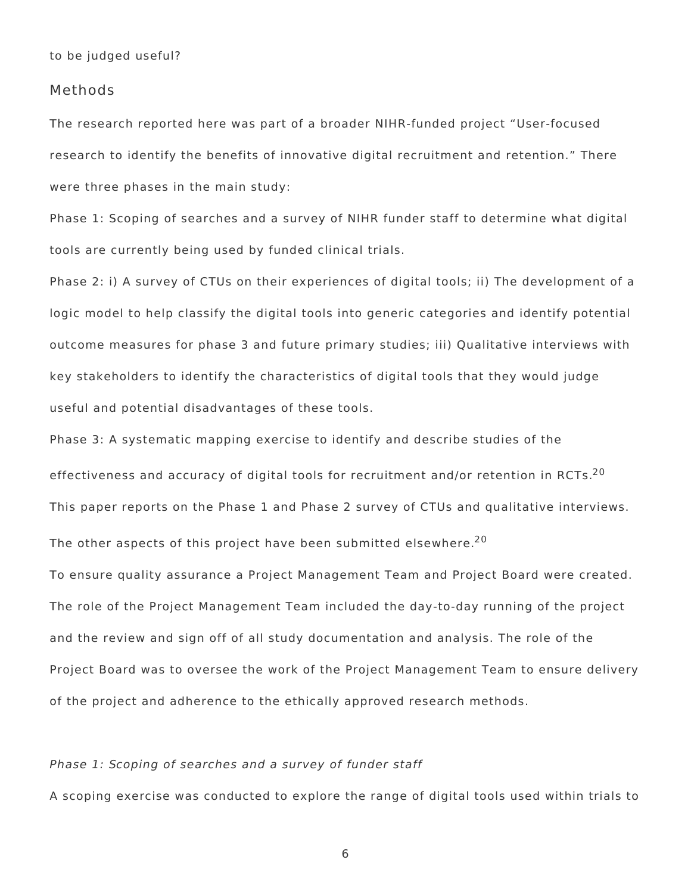to be judged useful?

### Methods

The research reported here was part of a broader NIHR-funded project "User-focused research to identify the benefits of innovative digital recruitment and retention." There were three phases in the main study:

Phase 1: Scoping of searches and a survey of NIHR funder staff to determine what digital tools are currently being used by funded clinical trials.

Phase 2: i) A survey of CTUs on their experiences of digital tools; ii) The development of a logic model to help classify the digital tools into generic categories and identify potential outcome measures for phase 3 and future primary studies; iii) Qualitative interviews with key stakeholders to identify the characteristics of digital tools that they would judge useful and potential disadvantages of these tools.

Phase 3: A systematic mapping exercise to identify and describe studies of the effectiveness and accuracy of digital tools for recruitment and/or retention in RCTs.<sup>20</sup> This paper reports on the Phase 1 and Phase 2 survey of CTUs and qualitative interviews.

The other aspects of this project have been submitted elsewhere. $^{\mathrm{20}}$ 

To ensure quality assurance a Project Management Team and Project Board were created. The role of the Project Management Team included the day-to-day running of the project and the review and sign off of all study documentation and analysis. The role of the Project Board was to oversee the work of the Project Management Team to ensure delivery of the project and adherence to the ethically approved research methods.

#### Phase 1: Scoping of searches and a survey of funder staff

A scoping exercise was conducted to explore the range of digital tools used within trials to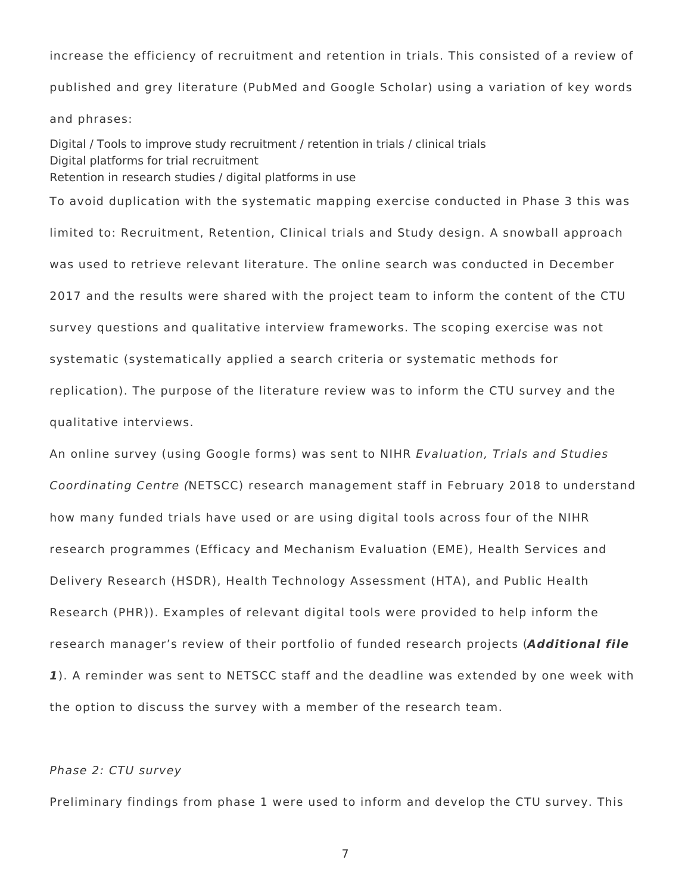increase the efficiency of recruitment and retention in trials. This consisted of a review of published and grey literature (PubMed and Google Scholar) using a variation of key words and phrases:

Digital / Tools to improve study recruitment / retention in trials / clinical trials Digital platforms for trial recruitment Retention in research studies / digital platforms in use

To avoid duplication with the systematic mapping exercise conducted in Phase 3 this was limited to: Recruitment, Retention, Clinical trials and Study design. A snowball approach was used to retrieve relevant literature. The online search was conducted in December 2017 and the results were shared with the project team to inform the content of the CTU survey questions and qualitative interview frameworks. The scoping exercise was not systematic (systematically applied a search criteria or systematic methods for replication). The purpose of the literature review was to inform the CTU survey and the qualitative interviews.

An online survey (using Google forms) was sent to NIHR Evaluation, Trials and Studies Coordinating Centre (NETSCC) research management staff in February 2018 to understand how many funded trials have used or are using digital tools across four of the NIHR research programmes (Efficacy and Mechanism Evaluation (EME), Health Services and Delivery Research (HSDR), Health Technology Assessment (HTA), and Public Health Research (PHR)). Examples of relevant digital tools were provided to help inform the research manager's review of their portfolio of funded research projects (**Additional file 1**). A reminder was sent to NETSCC staff and the deadline was extended by one week with the option to discuss the survey with a member of the research team.

## Phase 2: CTU survey

Preliminary findings from phase 1 were used to inform and develop the CTU survey. This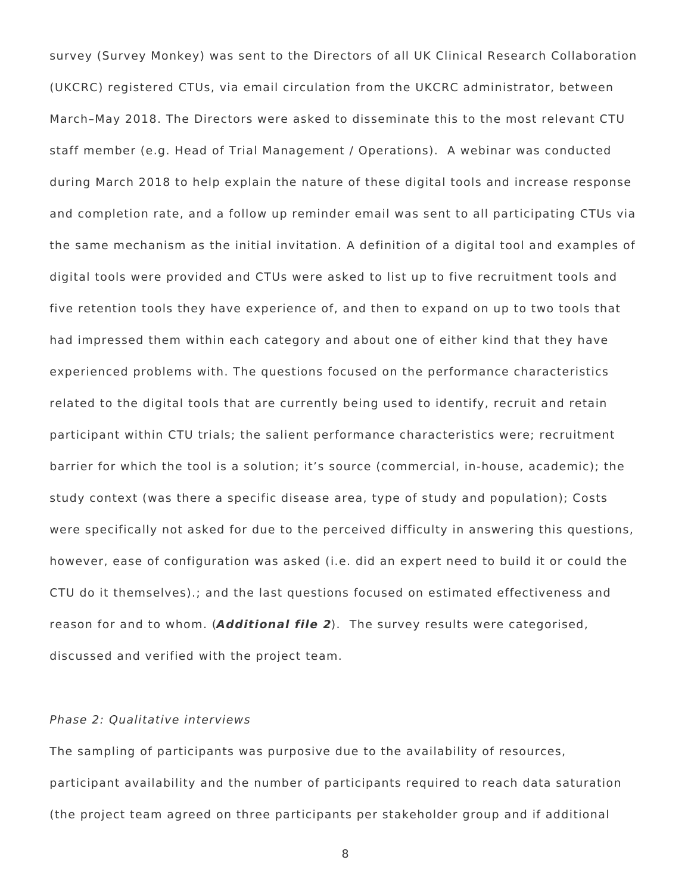survey (Survey Monkey) was sent to the Directors of all UK Clinical Research Collaboration (UKCRC) registered CTUs, via email circulation from the UKCRC administrator, between March–May 2018. The Directors were asked to disseminate this to the most relevant CTU staff member (e.g. Head of Trial Management / Operations). A webinar was conducted during March 2018 to help explain the nature of these digital tools and increase response and completion rate, and a follow up reminder email was sent to all participating CTUs via the same mechanism as the initial invitation. A definition of a digital tool and examples of digital tools were provided and CTUs were asked to list up to five recruitment tools and five retention tools they have experience of, and then to expand on up to two tools that had impressed them within each category and about one of either kind that they have experienced problems with. The questions focused on the performance characteristics related to the digital tools that are currently being used to identify, recruit and retain participant within CTU trials; the salient performance characteristics were; recruitment barrier for which the tool is a solution; it's source (commercial, in-house, academic); the study context (was there a specific disease area, type of study and population); Costs were specifically not asked for due to the perceived difficulty in answering this questions, however, ease of configuration was asked (i.e. did an expert need to build it or could the CTU do it themselves).; and the last questions focused on estimated effectiveness and reason for and to whom. (**Additional file 2**). The survey results were categorised, discussed and verified with the project team.

## Phase 2: Qualitative interviews

The sampling of participants was purposive due to the availability of resources, participant availability and the number of participants required to reach data saturation (the project team agreed on three participants per stakeholder group and if additional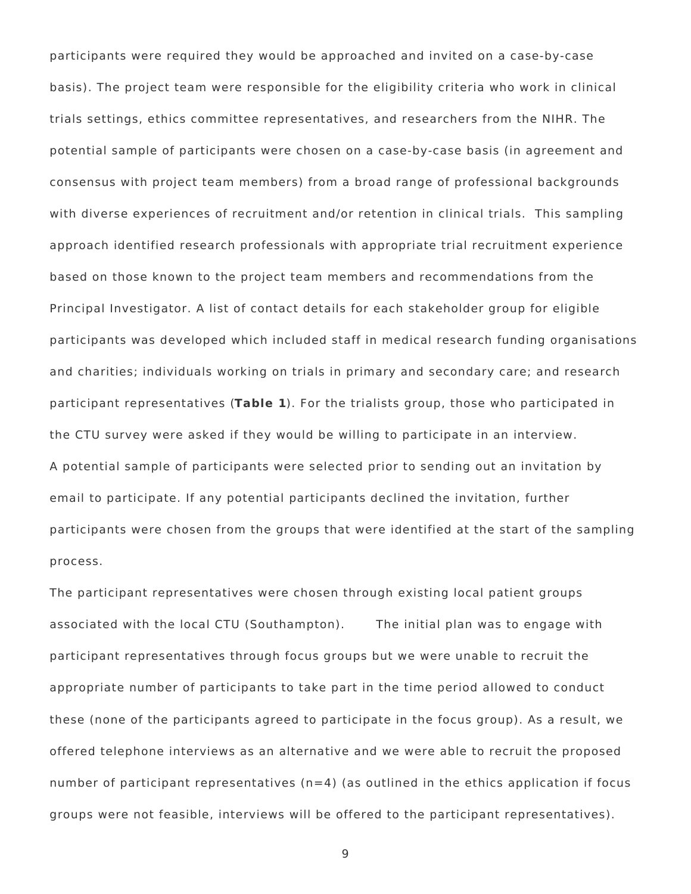participants were required they would be approached and invited on a case-by-case basis). The project team were responsible for the eligibility criteria who work in clinical trials settings, ethics committee representatives, and researchers from the NIHR. The potential sample of participants were chosen on a case-by-case basis (in agreement and consensus with project team members) from a broad range of professional backgrounds with diverse experiences of recruitment and/or retention in clinical trials. This sampling approach identified research professionals with appropriate trial recruitment experience based on those known to the project team members and recommendations from the Principal Investigator. A list of contact details for each stakeholder group for eligible participants was developed which included staff in medical research funding organisations and charities; individuals working on trials in primary and secondary care; and research participant representatives (**Table 1**). For the trialists group, those who participated in the CTU survey were asked if they would be willing to participate in an interview. A potential sample of participants were selected prior to sending out an invitation by email to participate. If any potential participants declined the invitation, further participants were chosen from the groups that were identified at the start of the sampling process.

The participant representatives were chosen through existing local patient groups associated with the local CTU (Southampton). The initial plan was to engage with participant representatives through focus groups but we were unable to recruit the appropriate number of participants to take part in the time period allowed to conduct these (none of the participants agreed to participate in the focus group). As a result, we offered telephone interviews as an alternative and we were able to recruit the proposed number of participant representatives  $(n=4)$  (as outlined in the ethics application if focus groups were not feasible, interviews will be offered to the participant representatives).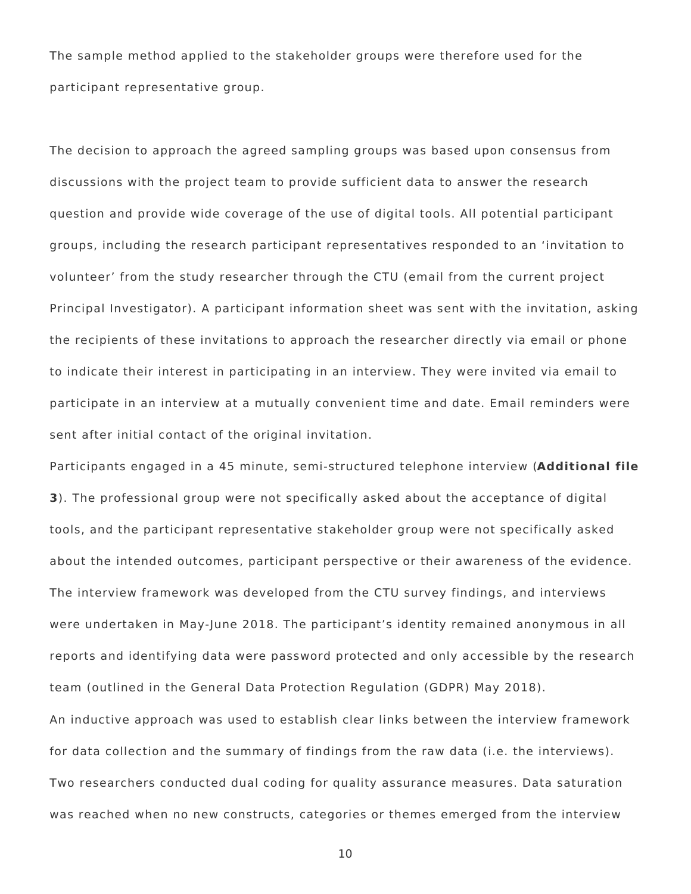The sample method applied to the stakeholder groups were therefore used for the participant representative group.

The decision to approach the agreed sampling groups was based upon consensus from discussions with the project team to provide sufficient data to answer the research question and provide wide coverage of the use of digital tools. All potential participant groups, including the research participant representatives responded to an 'invitation to volunteer' from the study researcher through the CTU (email from the current project Principal Investigator). A participant information sheet was sent with the invitation, asking the recipients of these invitations to approach the researcher directly via email or phone to indicate their interest in participating in an interview. They were invited via email to participate in an interview at a mutually convenient time and date. Email reminders were sent after initial contact of the original invitation.

Participants engaged in a 45 minute, semi-structured telephone interview (**Additional file 3**). The professional group were not specifically asked about the acceptance of digital tools, and the participant representative stakeholder group were not specifically asked about the intended outcomes, participant perspective or their awareness of the evidence. The interview framework was developed from the CTU survey findings, and interviews were undertaken in May-June 2018. The participant's identity remained anonymous in all reports and identifying data were password protected and only accessible by the research team (outlined in the General Data Protection Regulation (GDPR) May 2018).

An inductive approach was used to establish clear links between the interview framework for data collection and the summary of findings from the raw data (i.e. the interviews). Two researchers conducted dual coding for quality assurance measures. Data saturation was reached when no new constructs, categories or themes emerged from the interview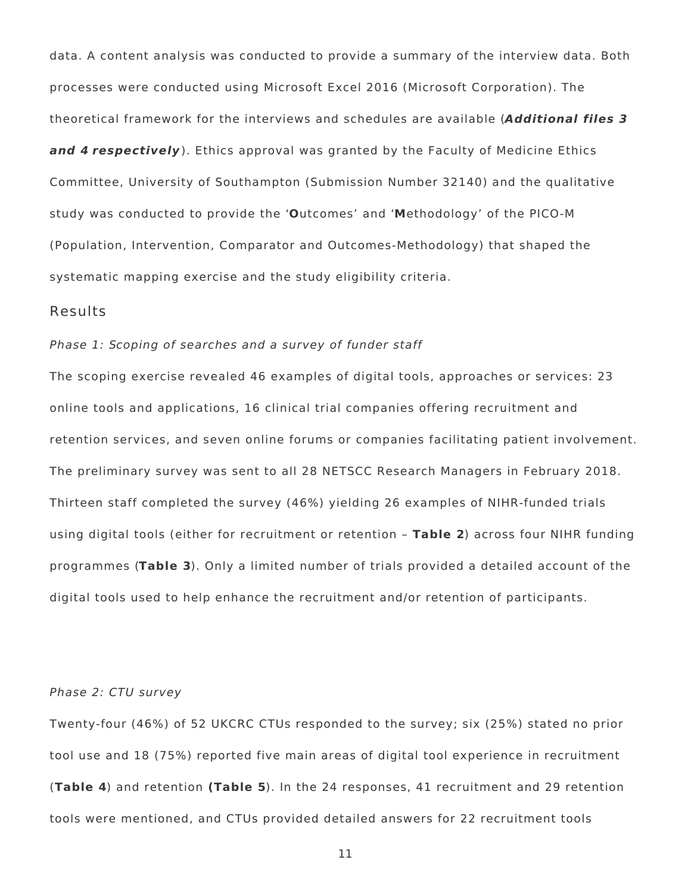data. A content analysis was conducted to provide a summary of the interview data. Both processes were conducted using Microsoft Excel 2016 (Microsoft Corporation). The theoretical framework for the interviews and schedules are available (**Additional files 3 and 4 respectively**). Ethics approval was granted by the Faculty of Medicine Ethics Committee, University of Southampton (Submission Number 32140) and the qualitative study was conducted to provide the '**O**utcomes' and '**M**ethodology' of the PICO-M (Population, Intervention, Comparator and Outcomes-Methodology) that shaped the systematic mapping exercise and the study eligibility criteria.

### Results

#### Phase 1: Scoping of searches and a survey of funder staff

The scoping exercise revealed 46 examples of digital tools, approaches or services: 23 online tools and applications, 16 clinical trial companies offering recruitment and retention services, and seven online forums or companies facilitating patient involvement. The preliminary survey was sent to all 28 NETSCC Research Managers in February 2018. Thirteen staff completed the survey (46%) yielding 26 examples of NIHR-funded trials using digital tools (either for recruitment or retention – **Table 2**) across four NIHR funding programmes (**Table 3**). Only a limited number of trials provided a detailed account of the digital tools used to help enhance the recruitment and/or retention of participants.

#### Phase 2: CTU survey

Twenty-four (46%) of 52 UKCRC CTUs responded to the survey; six (25%) stated no prior tool use and 18 (75%) reported five main areas of digital tool experience in recruitment (**Table 4**) and retention **(Table 5**). In the 24 responses, 41 recruitment and 29 retention tools were mentioned, and CTUs provided detailed answers for 22 recruitment tools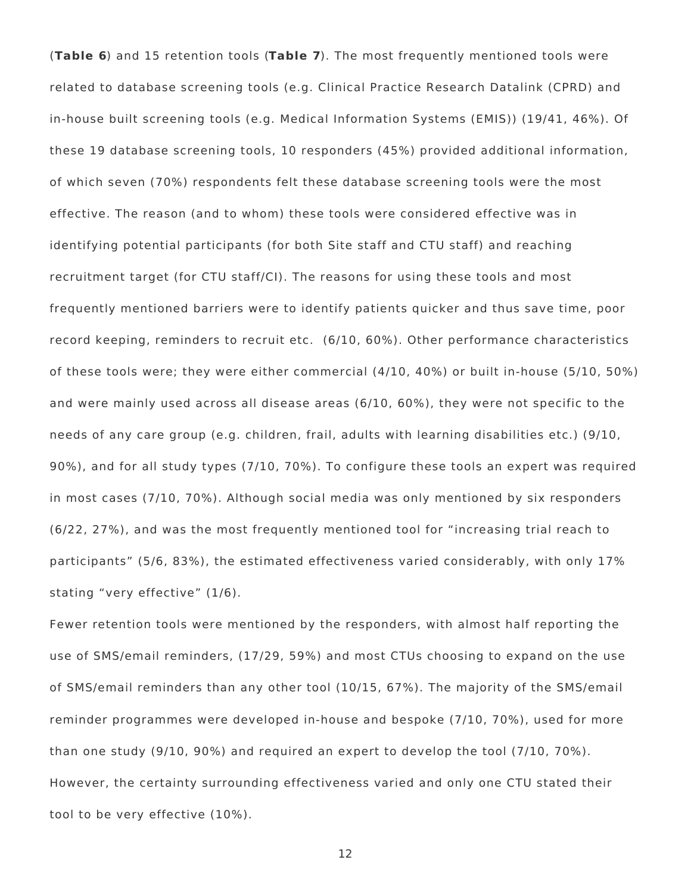(**Table 6**) and 15 retention tools (**Table 7**). The most frequently mentioned tools were related to database screening tools (e.g. Clinical Practice Research Datalink (CPRD) and in-house built screening tools (e.g. Medical Information Systems (EMIS)) (19/41, 46%). Of these 19 database screening tools, 10 responders (45%) provided additional information, of which seven (70%) respondents felt these database screening tools were the most effective. The reason (and to whom) these tools were considered effective was in identifying potential participants (for both Site staff and CTU staff) and reaching recruitment target (for CTU staff/CI). The reasons for using these tools and most frequently mentioned barriers were to identify patients quicker and thus save time, poor record keeping, reminders to recruit etc. (6/10, 60%). Other performance characteristics of these tools were; they were either commercial (4/10, 40%) or built in-house (5/10, 50%) and were mainly used across all disease areas (6/10, 60%), they were not specific to the needs of any care group (e.g. children, frail, adults with learning disabilities etc.) (9/10, 90%), and for all study types (7/10, 70%). To configure these tools an expert was required in most cases (7/10, 70%). Although social media was only mentioned by six responders (6/22, 27%), and was the most frequently mentioned tool for "increasing trial reach to participants" (5/6, 83%), the estimated effectiveness varied considerably, with only 17% stating "very effective" (1/6).

Fewer retention tools were mentioned by the responders, with almost half reporting the use of SMS/email reminders, (17/29, 59%) and most CTUs choosing to expand on the use of SMS/email reminders than any other tool (10/15, 67%). The majority of the SMS/email reminder programmes were developed in-house and bespoke (7/10, 70%), used for more than one study (9/10, 90%) and required an expert to develop the tool (7/10, 70%). However, the certainty surrounding effectiveness varied and only one CTU stated their tool to be very effective (10%).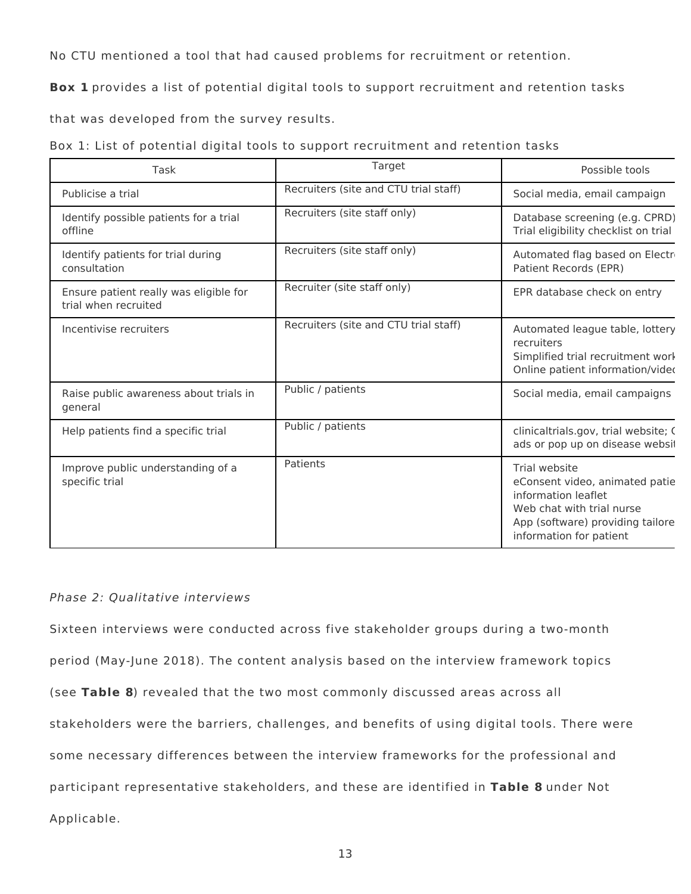No CTU mentioned a tool that had caused problems for recruitment or retention.

**Box 1** provides a list of potential digital tools to support recruitment and retention tasks

that was developed from the survey results.

|  |  |  |  | Box 1: List of potential digital tools to support recruitment and retention tasks |  |  |
|--|--|--|--|-----------------------------------------------------------------------------------|--|--|
|  |  |  |  |                                                                                   |  |  |

| Task                                                           | Target                                | Possible tools                                                                                                                                                     |
|----------------------------------------------------------------|---------------------------------------|--------------------------------------------------------------------------------------------------------------------------------------------------------------------|
| Publicise a trial                                              | Recruiters (site and CTU trial staff) | Social media, email campaign                                                                                                                                       |
| Identify possible patients for a trial<br>offline              | Recruiters (site staff only)          | Database screening (e.g. CPRD)<br>Trial eligibility checklist on trial                                                                                             |
| Identify patients for trial during<br>consultation             | Recruiters (site staff only)          | Automated flag based on Electri<br>Patient Records (EPR)                                                                                                           |
| Ensure patient really was eligible for<br>trial when recruited | Recruiter (site staff only)           | EPR database check on entry                                                                                                                                        |
| Incentivise recruiters                                         | Recruiters (site and CTU trial staff) | Automated league table, lottery<br>recruiters<br>Simplified trial recruitment work<br>Online patient information/vided                                             |
| Raise public awareness about trials in<br>general              | Public / patients                     | Social media, email campaigns                                                                                                                                      |
| Help patients find a specific trial                            | Public / patients                     | clinicaltrials.gov, trial website; C<br>ads or pop up on disease websit                                                                                            |
| Improve public understanding of a<br>specific trial            | Patients                              | Trial website<br>eConsent video, animated patie<br>information leaflet<br>Web chat with trial nurse<br>App (software) providing tailore<br>information for patient |

## Phase 2: Qualitative interviews

Sixteen interviews were conducted across five stakeholder groups during a two-month period (May-June 2018). The content analysis based on the interview framework topics (see **Table 8**) revealed that the two most commonly discussed areas across all stakeholders were the barriers, challenges, and benefits of using digital tools. There were some necessary differences between the interview frameworks for the professional and participant representative stakeholders, and these are identified in **Table 8** under Not Applicable.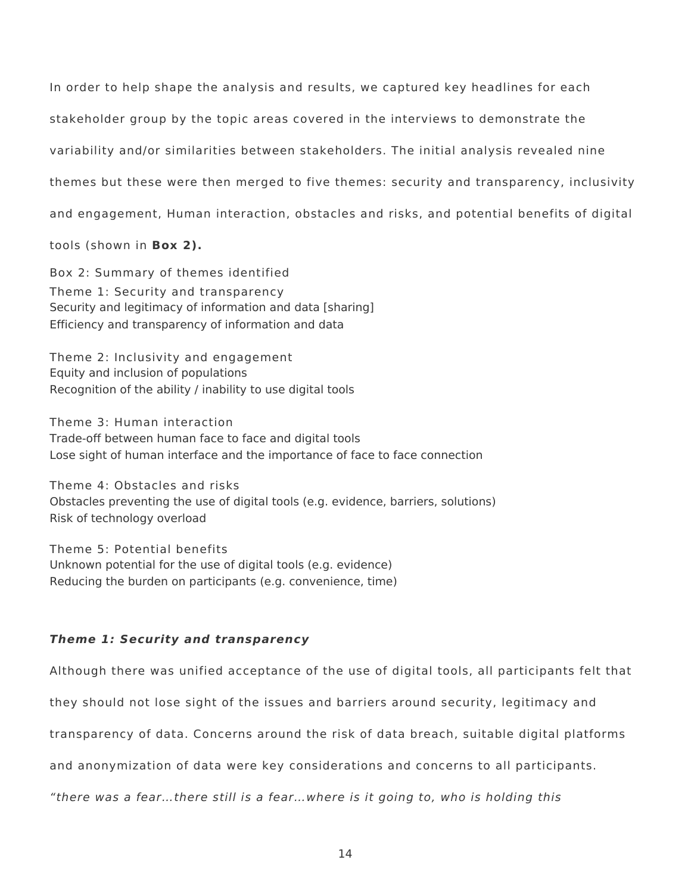In order to help shape the analysis and results, we captured key headlines for each stakeholder group by the topic areas covered in the interviews to demonstrate the variability and/or similarities between stakeholders. The initial analysis revealed nine themes but these were then merged to five themes: security and transparency, inclusivity and engagement, Human interaction, obstacles and risks, and potential benefits of digital

tools (shown in **Box 2).**

Box 2: Summary of themes identified Theme 1: Security and transparency Security and legitimacy of information and data [sharing] Efficiency and transparency of information and data

Theme 2: Inclusivity and engagement Equity and inclusion of populations Recognition of the ability / inability to use digital tools

Theme 3: Human interaction Trade-off between human face to face and digital tools Lose sight of human interface and the importance of face to face connection

Theme 4: Obstacles and risks Obstacles preventing the use of digital tools (e.g. evidence, barriers, solutions) Risk of technology overload

Theme 5: Potential benefits Unknown potential for the use of digital tools (e.g. evidence) Reducing the burden on participants (e.g. convenience, time)

## **Theme 1: Security and transparency**

Although there was unified acceptance of the use of digital tools, all participants felt that

they should not lose sight of the issues and barriers around security, legitimacy and

transparency of data. Concerns around the risk of data breach, suitable digital platforms

and anonymization of data were key considerations and concerns to all participants.

"there was a fear…there still is a fear…where is it going to, who is holding this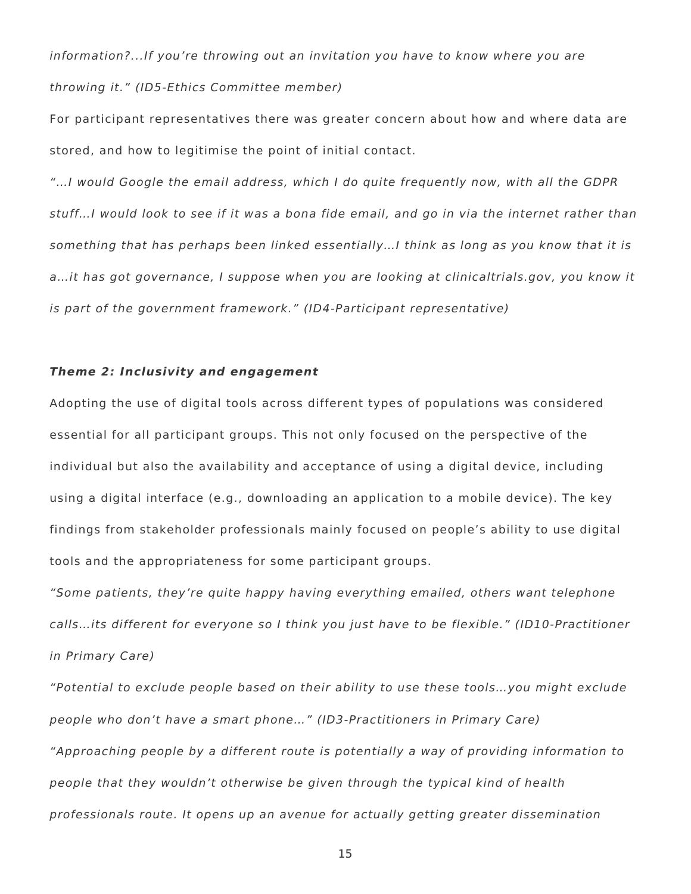information?...If you're throwing out an invitation you have to know where you are throwing it." (ID5-Ethics Committee member)

For participant representatives there was greater concern about how and where data are stored, and how to legitimise the point of initial contact.

"…I would Google the email address, which I do quite frequently now, with all the GDPR stuff…I would look to see if it was a bona fide email, and go in via the internet rather than something that has perhaps been linked essentially…I think as long as you know that it is a…it has got governance, I suppose when you are looking at clinicaltrials.gov, you know it is part of the government framework." (ID4-Participant representative)

#### **Theme 2: Inclusivity and engagement**

Adopting the use of digital tools across different types of populations was considered essential for all participant groups. This not only focused on the perspective of the individual but also the availability and acceptance of using a digital device, including using a digital interface (e.g., downloading an application to a mobile device). The key findings from stakeholder professionals mainly focused on people's ability to use digital tools and the appropriateness for some participant groups.

"Some patients, they're quite happy having everything emailed, others want telephone calls…its different for everyone so I think you just have to be flexible." (ID10-Practitioner in Primary Care)

"Potential to exclude people based on their ability to use these tools…you might exclude people who don't have a smart phone…" (ID3-Practitioners in Primary Care) "Approaching people by a different route is potentially a way of providing information to people that they wouldn't otherwise be given through the typical kind of health professionals route. It opens up an avenue for actually getting greater dissemination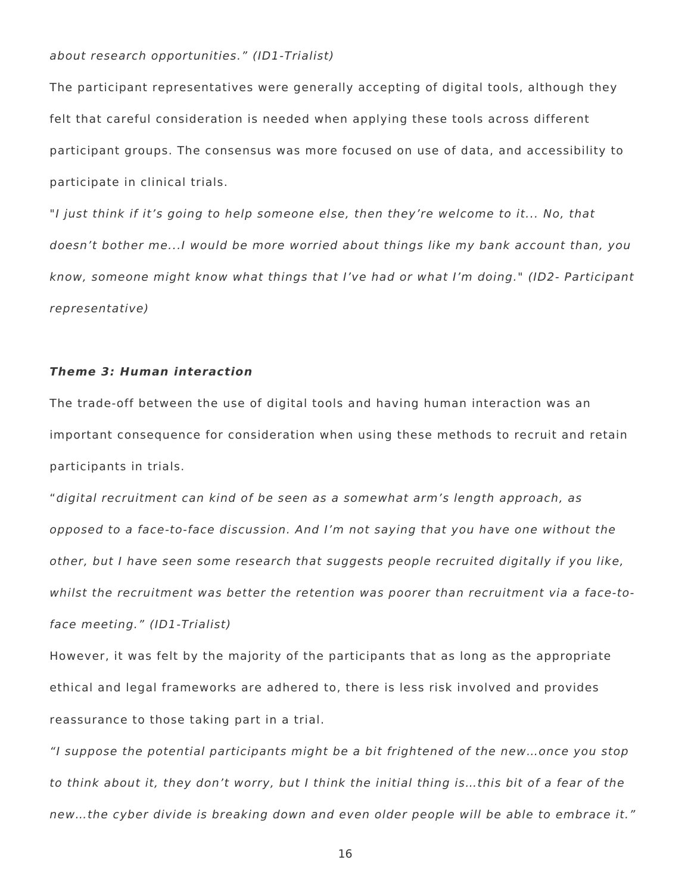#### about research opportunities." (ID1-Trialist)

The participant representatives were generally accepting of digital tools, although they felt that careful consideration is needed when applying these tools across different participant groups. The consensus was more focused on use of data, and accessibility to participate in clinical trials.

"I just think if it's going to help someone else, then they're welcome to it... No, that doesn't bother me...I would be more worried about things like my bank account than, you know, someone might know what things that I've had or what I'm doing." (ID2- Participant representative)

### **Theme 3: Human interaction**

The trade-off between the use of digital tools and having human interaction was an important consequence for consideration when using these methods to recruit and retain participants in trials.

"digital recruitment can kind of be seen as a somewhat arm's length approach, as opposed to a face-to-face discussion. And I'm not saying that you have one without the other, but I have seen some research that suggests people recruited digitally if you like, whilst the recruitment was better the retention was poorer than recruitment via a face-toface meeting." (ID1-Trialist)

However, it was felt by the majority of the participants that as long as the appropriate ethical and legal frameworks are adhered to, there is less risk involved and provides reassurance to those taking part in a trial.

"I suppose the potential participants might be a bit frightened of the new…once you stop to think about it, they don't worry, but I think the initial thing is…this bit of a fear of the new…the cyber divide is breaking down and even older people will be able to embrace it."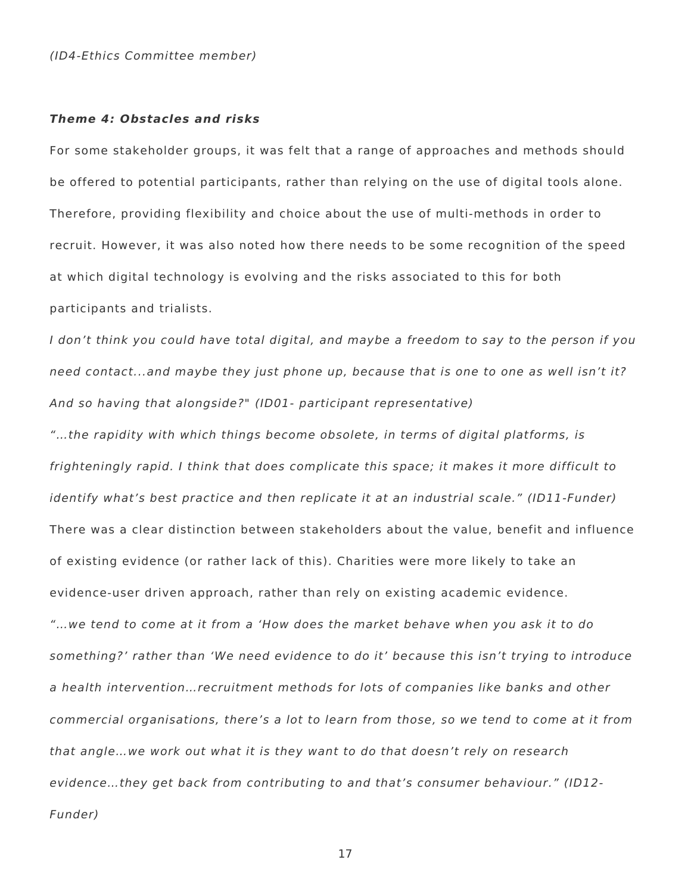#### (ID4-Ethics Committee member)

#### **Theme 4: Obstacles and risks**

For some stakeholder groups, it was felt that a range of approaches and methods should be offered to potential participants, rather than relying on the use of digital tools alone. Therefore, providing flexibility and choice about the use of multi-methods in order to recruit. However, it was also noted how there needs to be some recognition of the speed at which digital technology is evolving and the risks associated to this for both participants and trialists.

I don't think you could have total digital, and maybe a freedom to say to the person if you need contact...and maybe they just phone up, because that is one to one as well isn't it? And so having that alongside?" (ID01- participant representative)

"…the rapidity with which things become obsolete, in terms of digital platforms, is frighteningly rapid. I think that does complicate this space; it makes it more difficult to identify what's best practice and then replicate it at an industrial scale." (ID11-Funder) There was a clear distinction between stakeholders about the value, benefit and influence of existing evidence (or rather lack of this). Charities were more likely to take an evidence-user driven approach, rather than rely on existing academic evidence. "…we tend to come at it from a 'How does the market behave when you ask it to do something?' rather than 'We need evidence to do it' because this isn't trying to introduce a health intervention…recruitment methods for lots of companies like banks and other commercial organisations, there's a lot to learn from those, so we tend to come at it from that angle…we work out what it is they want to do that doesn't rely on research evidence…they get back from contributing to and that's consumer behaviour." (ID12- Funder)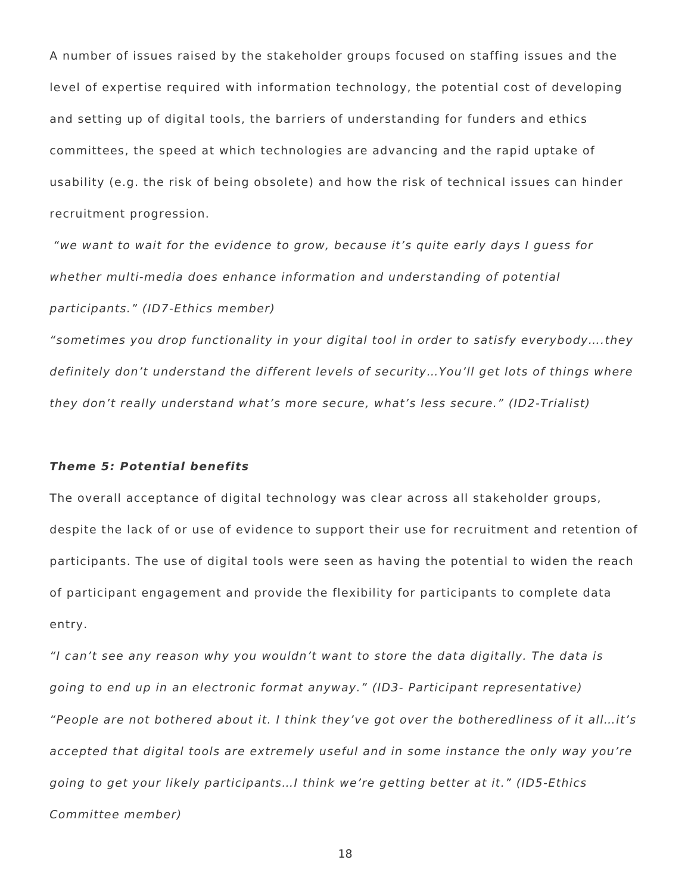A number of issues raised by the stakeholder groups focused on staffing issues and the level of expertise required with information technology, the potential cost of developing and setting up of digital tools, the barriers of understanding for funders and ethics committees, the speed at which technologies are advancing and the rapid uptake of usability (e.g. the risk of being obsolete) and how the risk of technical issues can hinder recruitment progression.

"we want to wait for the evidence to grow, because it's quite early days I guess for whether multi-media does enhance information and understanding of potential participants." (ID7-Ethics member)

"sometimes you drop functionality in your digital tool in order to satisfy everybody….they definitely don't understand the different levels of security…You'll get lots of things where they don't really understand what's more secure, what's less secure." (ID2-Trialist)

### **Theme 5: Potential benefits**

The overall acceptance of digital technology was clear across all stakeholder groups, despite the lack of or use of evidence to support their use for recruitment and retention of participants. The use of digital tools were seen as having the potential to widen the reach of participant engagement and provide the flexibility for participants to complete data entry.

"I can't see any reason why you wouldn't want to store the data digitally. The data is going to end up in an electronic format anyway." (ID3- Participant representative) "People are not bothered about it. I think they've got over the botheredliness of it all…it's accepted that digital tools are extremely useful and in some instance the only way you're going to get your likely participants…I think we're getting better at it." (ID5-Ethics Committee member)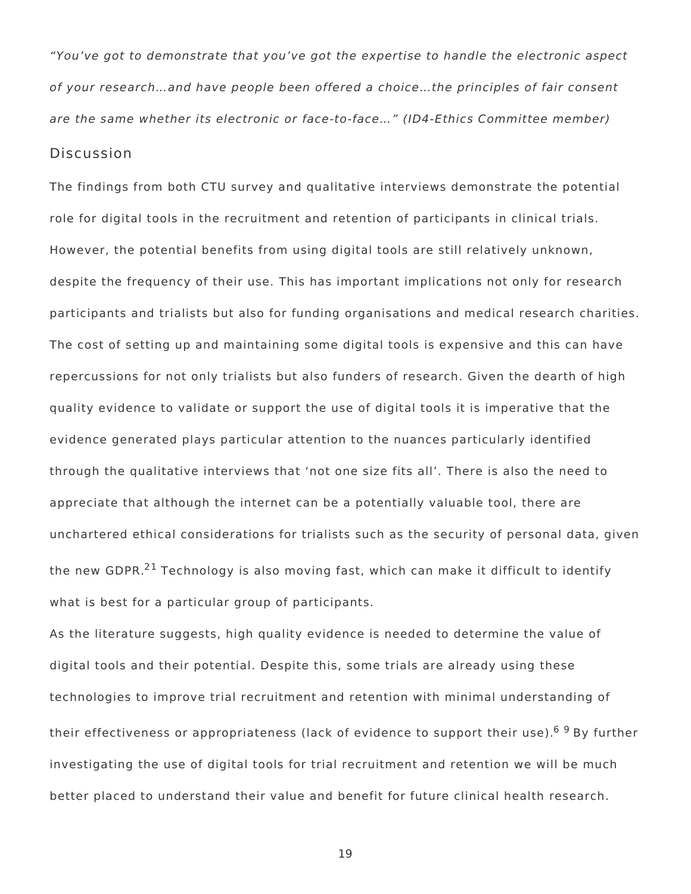"You've got to demonstrate that you've got the expertise to handle the electronic aspect of your research…and have people been offered a choice…the principles of fair consent are the same whether its electronic or face-to-face…" (ID4-Ethics Committee member)

## Discussion

The findings from both CTU survey and qualitative interviews demonstrate the potential role for digital tools in the recruitment and retention of participants in clinical trials. However, the potential benefits from using digital tools are still relatively unknown, despite the frequency of their use. This has important implications not only for research participants and trialists but also for funding organisations and medical research charities. The cost of setting up and maintaining some digital tools is expensive and this can have repercussions for not only trialists but also funders of research. Given the dearth of high quality evidence to validate or support the use of digital tools it is imperative that the evidence generated plays particular attention to the nuances particularly identified through the qualitative interviews that 'not one size fits all'. There is also the need to appreciate that although the internet can be a potentially valuable tool, there are unchartered ethical considerations for trialists such as the security of personal data, given the new GDPR.<sup>21</sup> Technology is also moving fast, which can make it difficult to identify what is best for a particular group of participants.

As the literature suggests, high quality evidence is needed to determine the value of digital tools and their potential. Despite this, some trials are already using these technologies to improve trial recruitment and retention with minimal understanding of their effectiveness or appropriateness (lack of evidence to support their use).<sup>69</sup> By further investigating the use of digital tools for trial recruitment and retention we will be much better placed to understand their value and benefit for future clinical health research.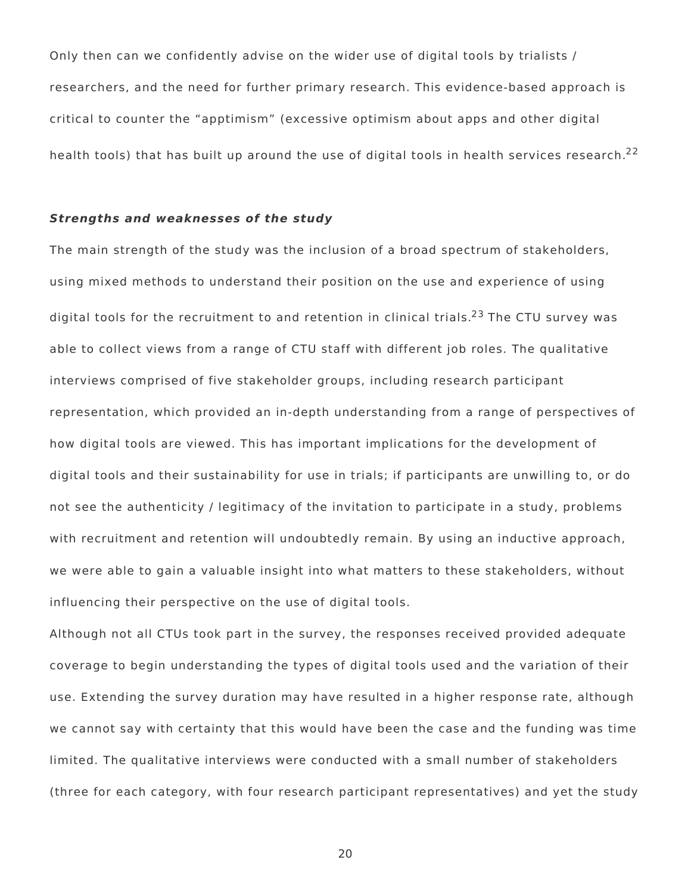Only then can we confidently advise on the wider use of digital tools by trialists / researchers, and the need for further primary research. This evidence-based approach is critical to counter the "apptimism" (excessive optimism about apps and other digital health tools) that has built up around the use of digital tools in health services research.<sup>22</sup>

### **Strengths and weaknesses of the study**

The main strength of the study was the inclusion of a broad spectrum of stakeholders, using mixed methods to understand their position on the use and experience of using digital tools for the recruitment to and retention in clinical trials.<sup>23</sup> The CTU survey was able to collect views from a range of CTU staff with different job roles. The qualitative interviews comprised of five stakeholder groups, including research participant representation, which provided an in-depth understanding from a range of perspectives of how digital tools are viewed. This has important implications for the development of digital tools and their sustainability for use in trials; if participants are unwilling to, or do not see the authenticity / legitimacy of the invitation to participate in a study, problems with recruitment and retention will undoubtedly remain. By using an inductive approach, we were able to gain a valuable insight into what matters to these stakeholders, without influencing their perspective on the use of digital tools.

Although not all CTUs took part in the survey, the responses received provided adequate coverage to begin understanding the types of digital tools used and the variation of their use. Extending the survey duration may have resulted in a higher response rate, although we cannot say with certainty that this would have been the case and the funding was time limited. The qualitative interviews were conducted with a small number of stakeholders (three for each category, with four research participant representatives) and yet the study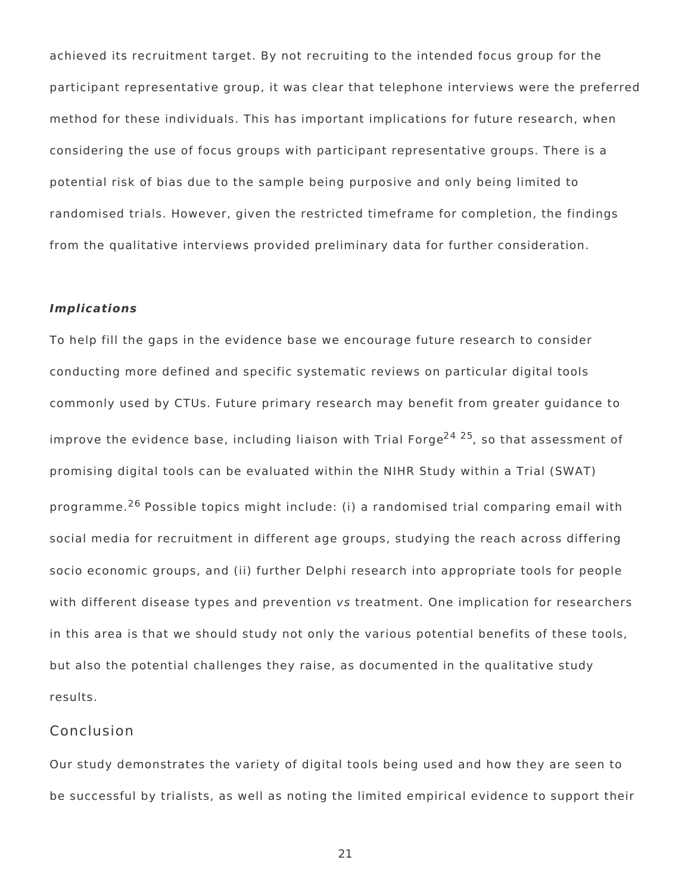achieved its recruitment target. By not recruiting to the intended focus group for the participant representative group, it was clear that telephone interviews were the preferred method for these individuals. This has important implications for future research, when considering the use of focus groups with participant representative groups. There is a potential risk of bias due to the sample being purposive and only being limited to randomised trials. However, given the restricted timeframe for completion, the findings from the qualitative interviews provided preliminary data for further consideration.

#### **Implications**

To help fill the gaps in the evidence base we encourage future research to consider conducting more defined and specific systematic reviews on particular digital tools commonly used by CTUs. Future primary research may benefit from greater guidance to improve the evidence base, including liaison with Trial Forge<sup>24 25</sup>, so that assessment of promising digital tools can be evaluated within the NIHR Study within a Trial (SWAT) programme.<sup>26</sup> Possible topics might include: (i) a randomised trial comparing email with social media for recruitment in different age groups, studying the reach across differing socio economic groups, and (ii) further Delphi research into appropriate tools for people with different disease types and prevention vs treatment. One implication for researchers in this area is that we should study not only the various potential benefits of these tools, but also the potential challenges they raise, as documented in the qualitative study results.

## Conclusion

Our study demonstrates the variety of digital tools being used and how they are seen to be successful by trialists, as well as noting the limited empirical evidence to support their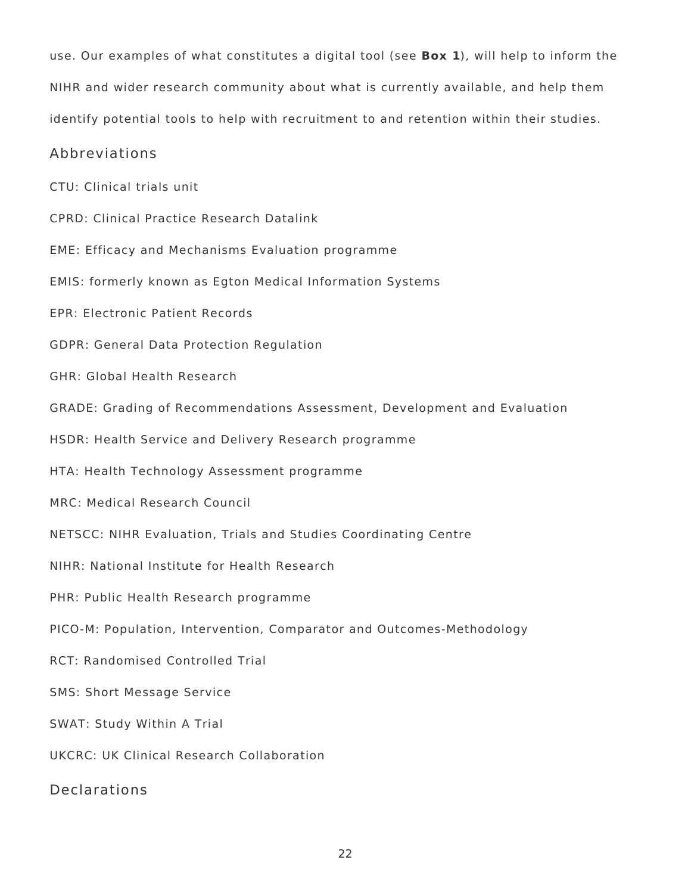use. Our examples of what constitutes a digital tool (see **Box 1**), will help to inform the NIHR and wider research community about what is currently available, and help them identify potential tools to help with recruitment to and retention within their studies.

## Abbreviations

CTU: Clinical trials unit

CPRD: Clinical Practice Research Datalink

EME: Efficacy and Mechanisms Evaluation programme

EMIS: formerly known as Egton Medical Information Systems

EPR: Electronic Patient Records

GDPR: General Data Protection Regulation

GHR: Global Health Research

GRADE: Grading of Recommendations Assessment, Development and Evaluation

HSDR: Health Service and Delivery Research programme

HTA: Health Technology Assessment programme

MRC: Medical Research Council

NETSCC: NIHR Evaluation, Trials and Studies Coordinating Centre

NIHR: National Institute for Health Research

PHR: Public Health Research programme

PICO-M: Population, Intervention, Comparator and Outcomes-Methodology

RCT: Randomised Controlled Trial

SMS: Short Message Service

SWAT: Study Within A Trial

UKCRC: UK Clinical Research Collaboration

Declarations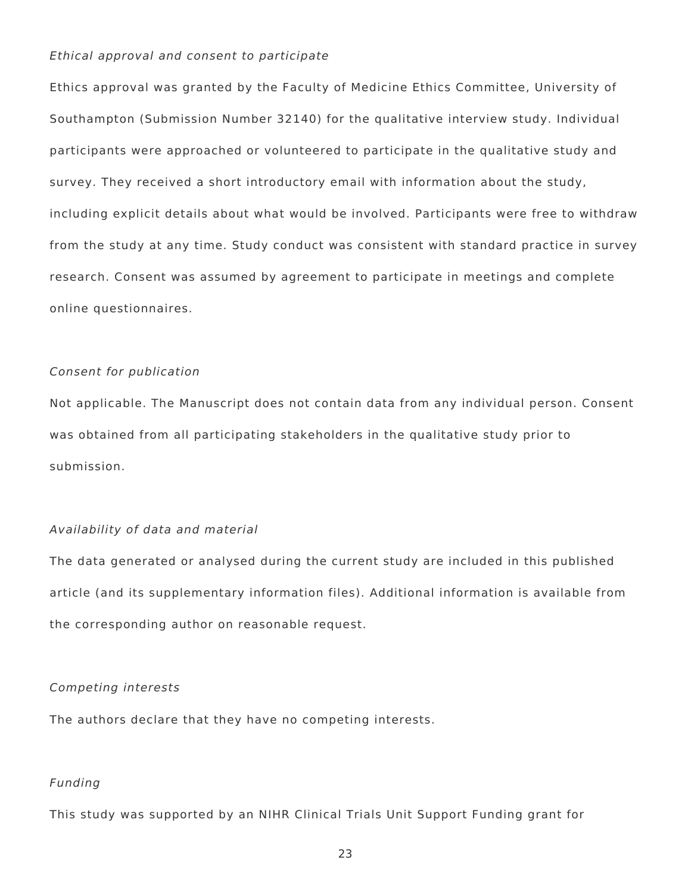#### Ethical approval and consent to participate

Ethics approval was granted by the Faculty of Medicine Ethics Committee, University of Southampton (Submission Number 32140) for the qualitative interview study. Individual participants were approached or volunteered to participate in the qualitative study and survey. They received a short introductory email with information about the study, including explicit details about what would be involved. Participants were free to withdraw from the study at any time. Study conduct was consistent with standard practice in survey research. Consent was assumed by agreement to participate in meetings and complete online questionnaires.

#### Consent for publication

Not applicable. The Manuscript does not contain data from any individual person. Consent was obtained from all participating stakeholders in the qualitative study prior to submission.

#### Availability of data and material

The data generated or analysed during the current study are included in this published article (and its supplementary information files). Additional information is available from the corresponding author on reasonable request.

#### Competing interests

The authors declare that they have no competing interests.

## Funding

This study was supported by an NIHR Clinical Trials Unit Support Funding grant for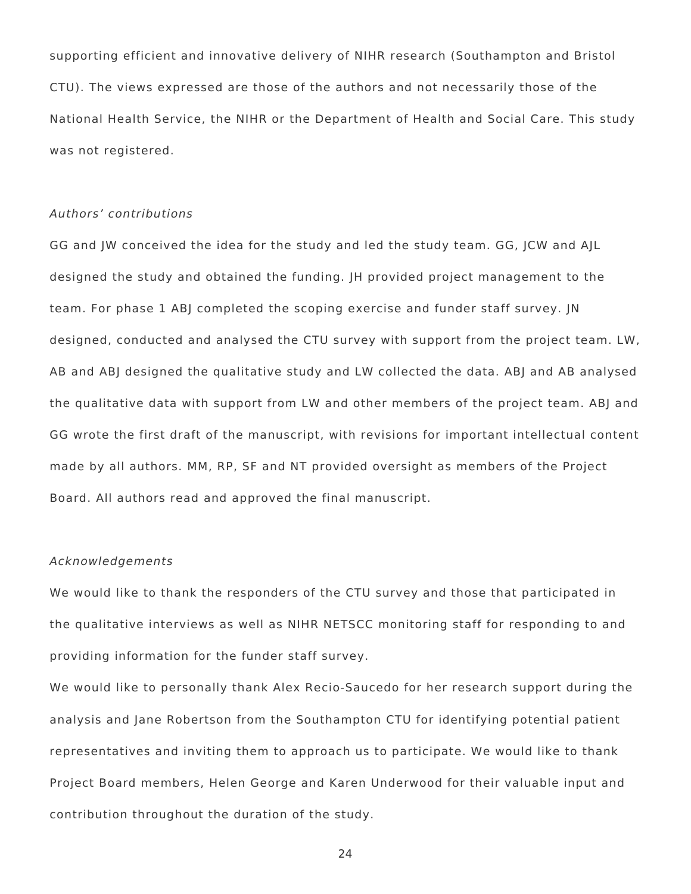supporting efficient and innovative delivery of NIHR research (Southampton and Bristol CTU). The views expressed are those of the authors and not necessarily those of the National Health Service, the NIHR or the Department of Health and Social Care. This study was not registered.

#### Authors' contributions

GG and JW conceived the idea for the study and led the study team. GG, JCW and AJL designed the study and obtained the funding. JH provided project management to the team. For phase 1 ABJ completed the scoping exercise and funder staff survey. JN designed, conducted and analysed the CTU survey with support from the project team. LW, AB and ABJ designed the qualitative study and LW collected the data. ABJ and AB analysed the qualitative data with support from LW and other members of the project team. ABJ and GG wrote the first draft of the manuscript, with revisions for important intellectual content made by all authors. MM, RP, SF and NT provided oversight as members of the Project Board. All authors read and approved the final manuscript.

#### Acknowledgements

We would like to thank the responders of the CTU survey and those that participated in the qualitative interviews as well as NIHR NETSCC monitoring staff for responding to and providing information for the funder staff survey.

We would like to personally thank Alex Recio-Saucedo for her research support during the analysis and Jane Robertson from the Southampton CTU for identifying potential patient representatives and inviting them to approach us to participate. We would like to thank Project Board members, Helen George and Karen Underwood for their valuable input and contribution throughout the duration of the study.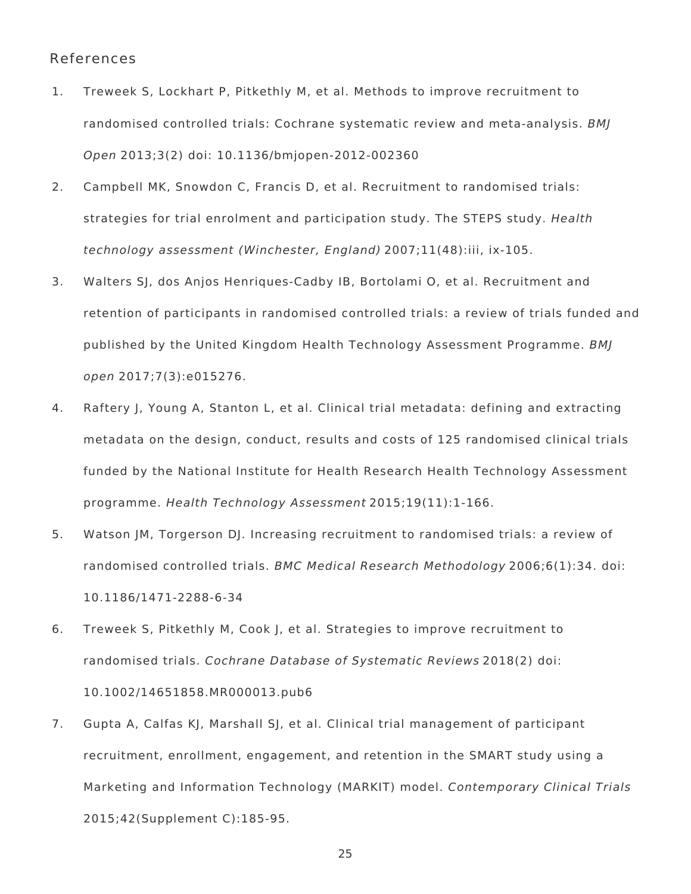## References

- 1. Treweek S, Lockhart P, Pitkethly M, et al. Methods to improve recruitment to randomised controlled trials: Cochrane systematic review and meta-analysis. BMJ Open 2013;3(2) doi: 10.1136/bmjopen-2012-002360
- 2. Campbell MK, Snowdon C, Francis D, et al. Recruitment to randomised trials: strategies for trial enrolment and participation study. The STEPS study. Health technology assessment (Winchester, England) 2007;11(48):iii, ix-105.
- 3. Walters SJ, dos Anjos Henriques-Cadby IB, Bortolami O, et al. Recruitment and retention of participants in randomised controlled trials: a review of trials funded and published by the United Kingdom Health Technology Assessment Programme. BMJ open 2017;7(3):e015276.
- 4. Raftery J, Young A, Stanton L, et al. Clinical trial metadata: defining and extracting metadata on the design, conduct, results and costs of 125 randomised clinical trials funded by the National Institute for Health Research Health Technology Assessment programme. Health Technology Assessment 2015;19(11):1-166.
- 5. Watson JM, Torgerson DJ. Increasing recruitment to randomised trials: a review of randomised controlled trials. BMC Medical Research Methodology 2006;6(1):34. doi: 10.1186/1471-2288-6-34
- 6. Treweek S, Pitkethly M, Cook J, et al. Strategies to improve recruitment to randomised trials. Cochrane Database of Systematic Reviews 2018(2) doi: 10.1002/14651858.MR000013.pub6
- 7. Gupta A, Calfas KJ, Marshall SJ, et al. Clinical trial management of participant recruitment, enrollment, engagement, and retention in the SMART study using a Marketing and Information Technology (MARKIT) model. Contemporary Clinical Trials 2015;42(Supplement C):185-95.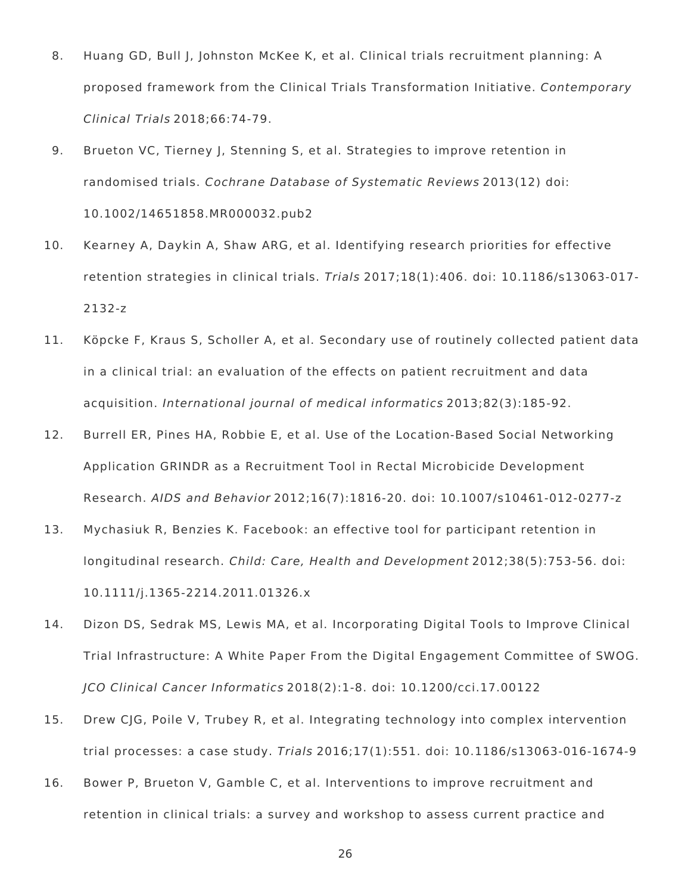- 8. Huang GD, Bull J, Johnston McKee K, et al. Clinical trials recruitment planning: A proposed framework from the Clinical Trials Transformation Initiative. Contemporary Clinical Trials 2018;66:74-79.
- 9. Brueton VC, Tierney J, Stenning S, et al. Strategies to improve retention in randomised trials. Cochrane Database of Systematic Reviews 2013(12) doi: 10.1002/14651858.MR000032.pub2
- 10. Kearney A, Daykin A, Shaw ARG, et al. Identifying research priorities for effective retention strategies in clinical trials. Trials 2017;18(1):406. doi: 10.1186/s13063-017- 2132-z
- 11. Köpcke F, Kraus S, Scholler A, et al. Secondary use of routinely collected patient data in a clinical trial: an evaluation of the effects on patient recruitment and data acquisition. International journal of medical informatics 2013;82(3):185-92.
- 12. Burrell ER, Pines HA, Robbie E, et al. Use of the Location-Based Social Networking Application GRINDR as a Recruitment Tool in Rectal Microbicide Development Research. AIDS and Behavior 2012;16(7):1816-20. doi: 10.1007/s10461-012-0277-z
- 13. Mychasiuk R, Benzies K. Facebook: an effective tool for participant retention in longitudinal research. Child: Care, Health and Development 2012;38(5):753-56. doi: 10.1111/j.1365-2214.2011.01326.x
- 14. Dizon DS, Sedrak MS, Lewis MA, et al. Incorporating Digital Tools to Improve Clinical Trial Infrastructure: A White Paper From the Digital Engagement Committee of SWOG. JCO Clinical Cancer Informatics 2018(2):1-8. doi: 10.1200/cci.17.00122
- 15. Drew CJG, Poile V, Trubey R, et al. Integrating technology into complex intervention trial processes: a case study. Trials 2016;17(1):551. doi: 10.1186/s13063-016-1674-9
- 16. Bower P, Brueton V, Gamble C, et al. Interventions to improve recruitment and retention in clinical trials: a survey and workshop to assess current practice and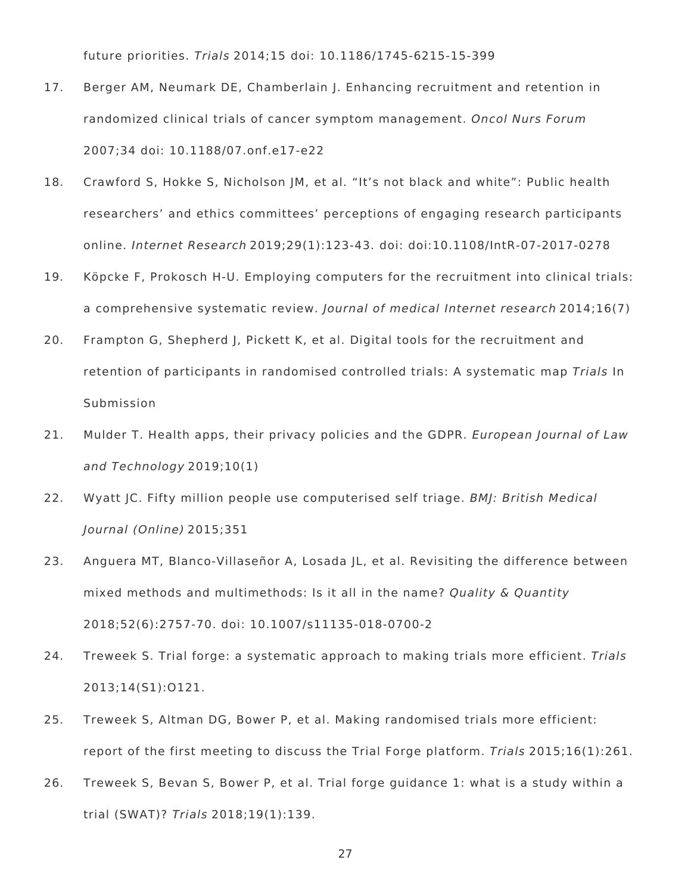future priorities. Trials 2014;15 doi: 10.1186/1745-6215-15-399

- 17. Berger AM, Neumark DE, Chamberlain J. Enhancing recruitment and retention in randomized clinical trials of cancer symptom management. Oncol Nurs Forum 2007;34 doi: 10.1188/07.onf.e17-e22
- 18. Crawford S, Hokke S, Nicholson JM, et al. "It's not black and white": Public health researchers' and ethics committees' perceptions of engaging research participants online. Internet Research 2019;29(1):123-43. doi: doi:10.1108/IntR-07-2017-0278
- 19. Köpcke F, Prokosch H-U. Employing computers for the recruitment into clinical trials: a comprehensive systematic review. Journal of medical Internet research 2014;16(7)
- 20. Frampton G, Shepherd J, Pickett K, et al. Digital tools for the recruitment and retention of participants in randomised controlled trials: A systematic map Trials In Submission
- 21. Mulder T. Health apps, their privacy policies and the GDPR. European Journal of Law and Technology 2019;10(1)
- 22. Wyatt JC. Fifty million people use computerised self triage. BMJ: British Medical Journal (Online) 2015;351
- 23. Anguera MT, Blanco-Villaseñor A, Losada JL, et al. Revisiting the difference between mixed methods and multimethods: Is it all in the name? Quality & Quantity 2018;52(6):2757-70. doi: 10.1007/s11135-018-0700-2
- 24. Treweek S. Trial forge: a systematic approach to making trials more efficient. Trials 2013;14(S1):O121.
- 25. Treweek S, Altman DG, Bower P, et al. Making randomised trials more efficient: report of the first meeting to discuss the Trial Forge platform. Trials 2015;16(1):261.
- 26. Treweek S, Bevan S, Bower P, et al. Trial forge guidance 1: what is a study within a trial (SWAT)? Trials 2018;19(1):139.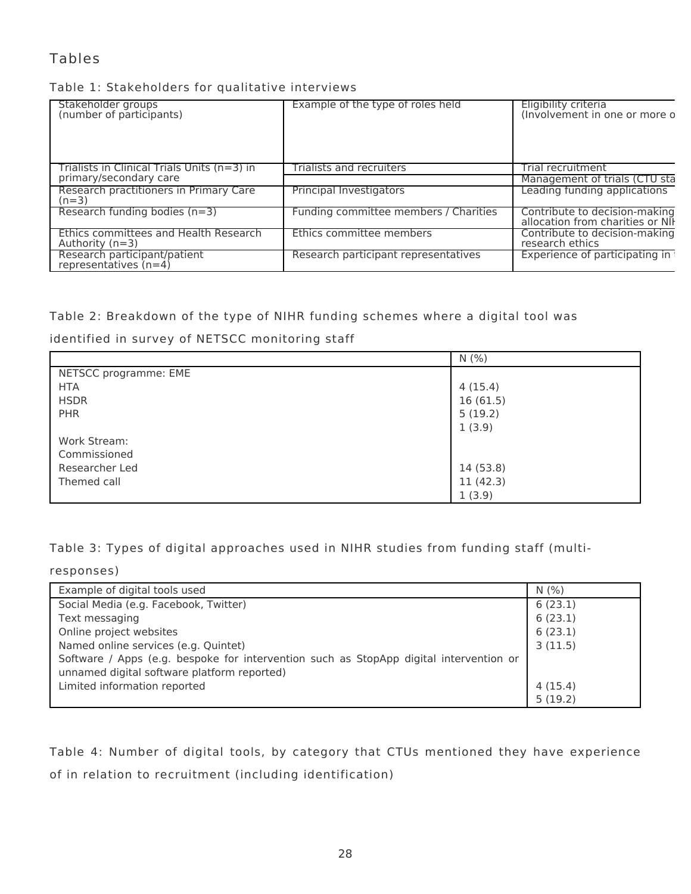## Tables

## Table 1: Stakeholders for qualitative interviews

| Stakeholder groups<br>(number of participants)             | Example of the type of roles held     | Eligibility criteria<br>(Involvement in one or more o             |
|------------------------------------------------------------|---------------------------------------|-------------------------------------------------------------------|
| Trialists in Clinical Trials Units (n=3) in                | Trialists and recruiters              | Trial recruitment                                                 |
| primary/secondary care                                     |                                       | Management of trials (CTU sta                                     |
| Research practitioners in Primary Care<br>$(n=3)$          | Principal Investigators               | Leading funding applications                                      |
| Research funding bodies $(n=3)$                            | Funding committee members / Charities | Contribute to decision-making<br>allocation from charities or NII |
| Ethics committees and Health Research<br>Authority $(n=3)$ | Ethics committee members              | Contribute to decision-making<br>research ethics                  |
| Research participant/patient<br>representatives $(n=4)$    | Research participant representatives  | Experience of participating in                                    |

## Table 2: Breakdown of the type of NIHR funding schemes where a digital tool was

identified in survey of NETSCC monitoring staff

|                       | N(% )     |
|-----------------------|-----------|
| NETSCC programme: EME |           |
| <b>HTA</b>            | 4(15.4)   |
| <b>HSDR</b>           | 16(61.5)  |
| <b>PHR</b>            | 5(19.2)   |
|                       | 1(3.9)    |
| Work Stream:          |           |
| Commissioned          |           |
| Researcher Led        | 14 (53.8) |
| Themed call           | 11(42.3)  |
|                       | 1(3.9)    |

Table 3: Types of digital approaches used in NIHR studies from funding staff (multi-

responses)

| Example of digital tools used                                                          | N(% )   |
|----------------------------------------------------------------------------------------|---------|
| Social Media (e.g. Facebook, Twitter)                                                  | 6(23.1) |
| Text messaging                                                                         | 6(23.1) |
| Online project websites                                                                | 6(23.1) |
| Named online services (e.g. Quintet)                                                   | 3(11.5) |
| Software / Apps (e.g. bespoke for intervention such as StopApp digital intervention or |         |
| unnamed digital software platform reported)                                            |         |
| Limited information reported                                                           | 4(15.4) |
|                                                                                        | 5(19.2) |

Table 4: Number of digital tools, by category that CTUs mentioned they have experience of in relation to recruitment (including identification)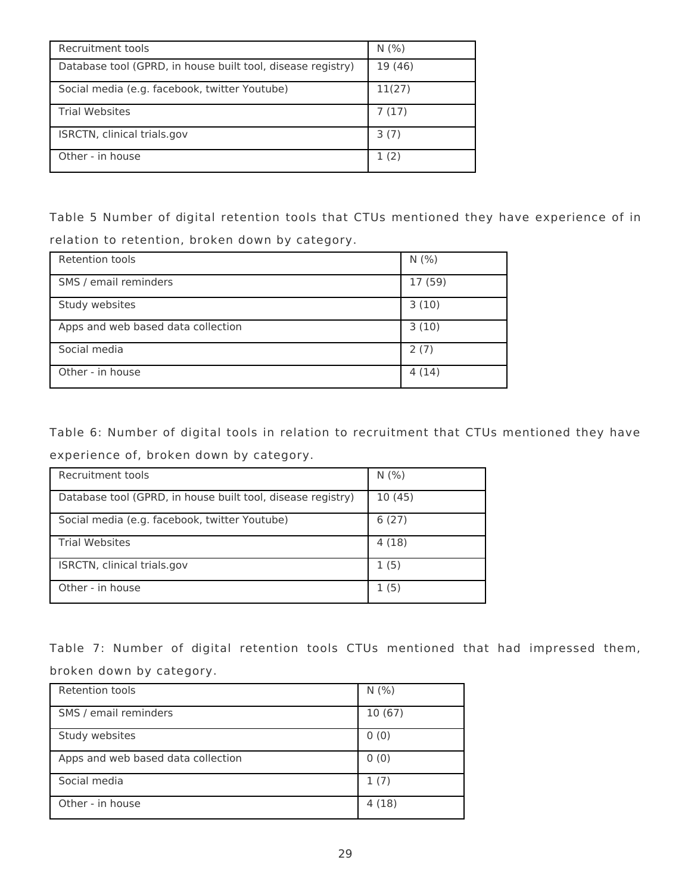| Recruitment tools                                           | N(% )   |
|-------------------------------------------------------------|---------|
| Database tool (GPRD, in house built tool, disease registry) | 19 (46) |
| Social media (e.g. facebook, twitter Youtube)               | 11(27)  |
| <b>Trial Websites</b>                                       | 7(17)   |
| ISRCTN, clinical trials.gov                                 | 3(7)    |
| Other - in house                                            | 1(2)    |

Table 5 Number of digital retention tools that CTUs mentioned they have experience of in relation to retention, broken down by category.

| <b>Retention tools</b>             | N(% )   |
|------------------------------------|---------|
| SMS / email reminders              | 17 (59) |
| Study websites                     | 3(10)   |
| Apps and web based data collection | 3(10)   |
| Social media                       | 2(7)    |
| Other - in house                   | 4(14)   |

Table 6: Number of digital tools in relation to recruitment that CTUs mentioned they have experience of, broken down by category.

| Recruitment tools                                           | N(% )  |
|-------------------------------------------------------------|--------|
| Database tool (GPRD, in house built tool, disease registry) | 10(45) |
| Social media (e.g. facebook, twitter Youtube)               | 6(27)  |
| <b>Trial Websites</b>                                       | 4(18)  |
| ISRCTN, clinical trials.gov                                 | 1(5)   |
| Other - in house                                            | 1 (5)  |

Table 7: Number of digital retention tools CTUs mentioned that had impressed them, broken down by category.

| Retention tools                    | N(% )  |
|------------------------------------|--------|
| SMS / email reminders              | 10(67) |
| Study websites                     | 0(0)   |
| Apps and web based data collection | 0(0)   |
| Social media                       | 1(7)   |
| Other - in house                   | 4(18)  |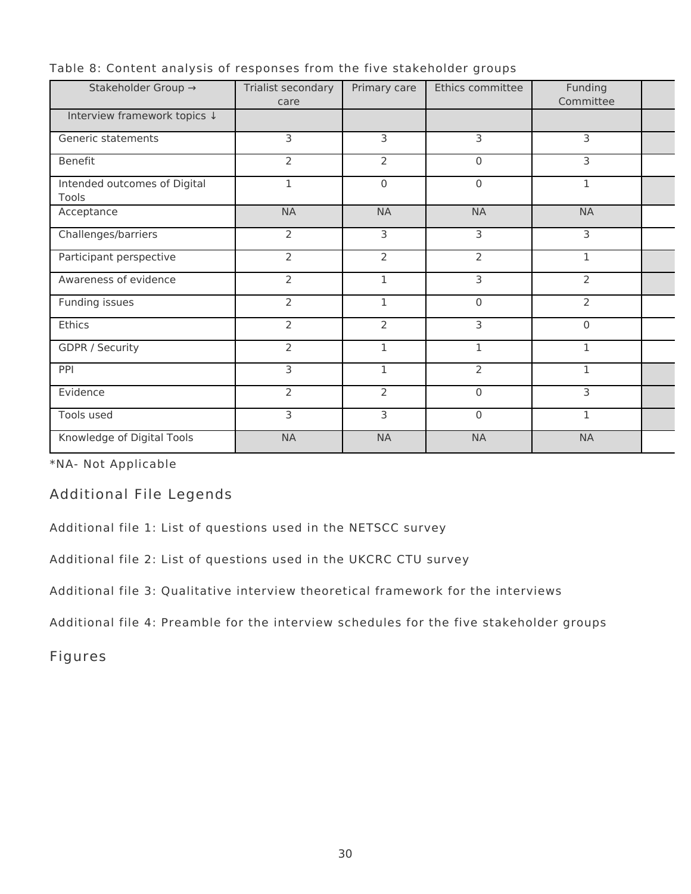| Stakeholder Group →                   | Trialist secondary<br>care | Primary care   | Ethics committee | Funding<br>Committee |  |
|---------------------------------------|----------------------------|----------------|------------------|----------------------|--|
| Interview framework topics ↓          |                            |                |                  |                      |  |
| Generic statements                    | 3                          | 3              | 3                | 3                    |  |
| <b>Benefit</b>                        | $\overline{2}$             | $\overline{2}$ | $\mathbf{0}$     | 3                    |  |
| Intended outcomes of Digital<br>Tools | 1                          | $\mathbf 0$    | $\mathbf{0}$     | 1                    |  |
| Acceptance                            | <b>NA</b>                  | <b>NA</b>      | <b>NA</b>        | <b>NA</b>            |  |
| Challenges/barriers                   | $\overline{2}$             | 3              | 3                | 3                    |  |
| Participant perspective               | $\overline{2}$             | $\overline{2}$ | $\overline{2}$   | 1                    |  |
| Awareness of evidence                 | $\overline{2}$             | 1              | 3                | $\overline{2}$       |  |
| Funding issues                        | $\overline{2}$             | $\mathbf{1}$   | $\mathbf 0$      | $\overline{2}$       |  |
| Ethics                                | $\overline{2}$             | $\overline{2}$ | 3                | $\mathsf 0$          |  |
| <b>GDPR / Security</b>                | $\overline{2}$             | $\mathbf 1$    | 1                | 1                    |  |
| PPI                                   | 3                          | $\mathbf{1}$   | 2                | $\mathbf{1}$         |  |
| Evidence                              | $\overline{2}$             | $\overline{2}$ | $\mathbf{0}$     | 3                    |  |
| Tools used                            | 3                          | 3              | $\mathbf 0$      | 1                    |  |
| Knowledge of Digital Tools            | <b>NA</b>                  | <b>NA</b>      | <b>NA</b>        | <b>NA</b>            |  |

Table 8: Content analysis of responses from the five stakeholder groups

\*NA- Not Applicable

Additional File Legends

Additional file 1: List of questions used in the NETSCC survey

Additional file 2: List of questions used in the UKCRC CTU survey

Additional file 3: Qualitative interview theoretical framework for the interviews

Additional file 4: Preamble for the interview schedules for the five stakeholder groups

Figures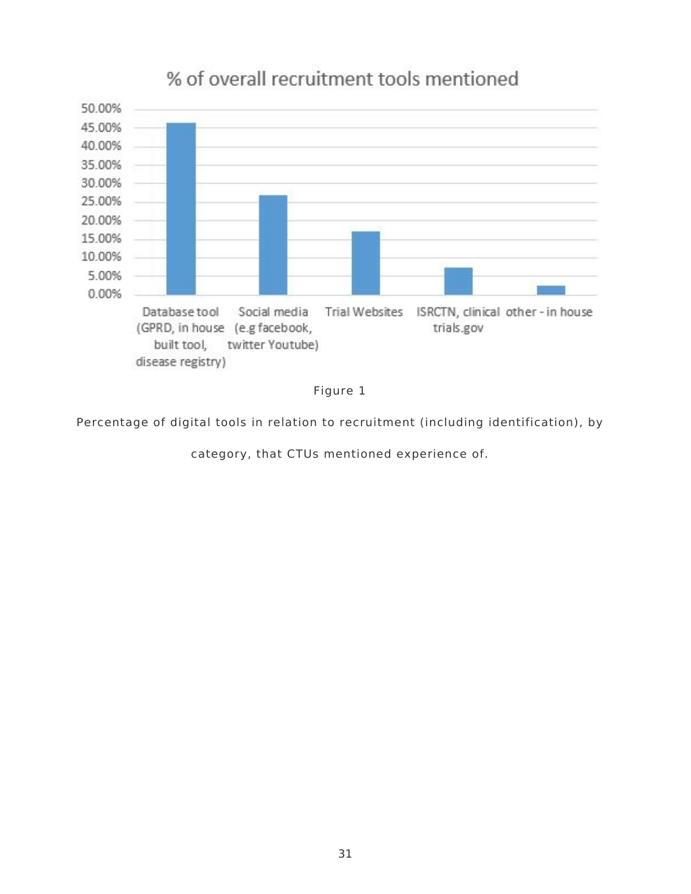

# % of overall recruitment tools mentioned



Percentage of digital tools in relation to recruitment (including identification), by

category, that CTUs mentioned experience of.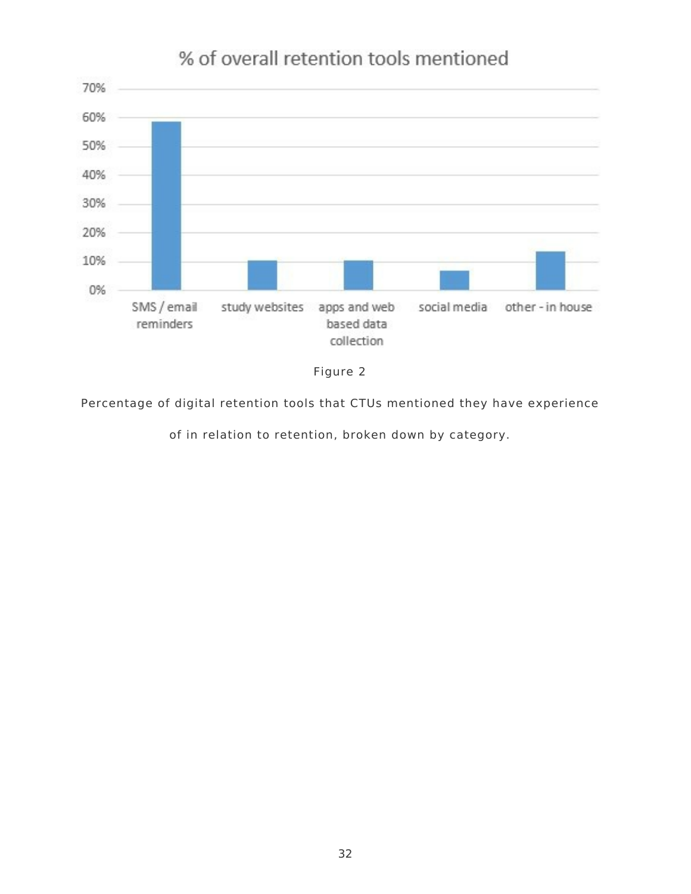

# % of overall retention tools mentioned



Percentage of digital retention tools that CTUs mentioned they have experience

of in relation to retention, broken down by category.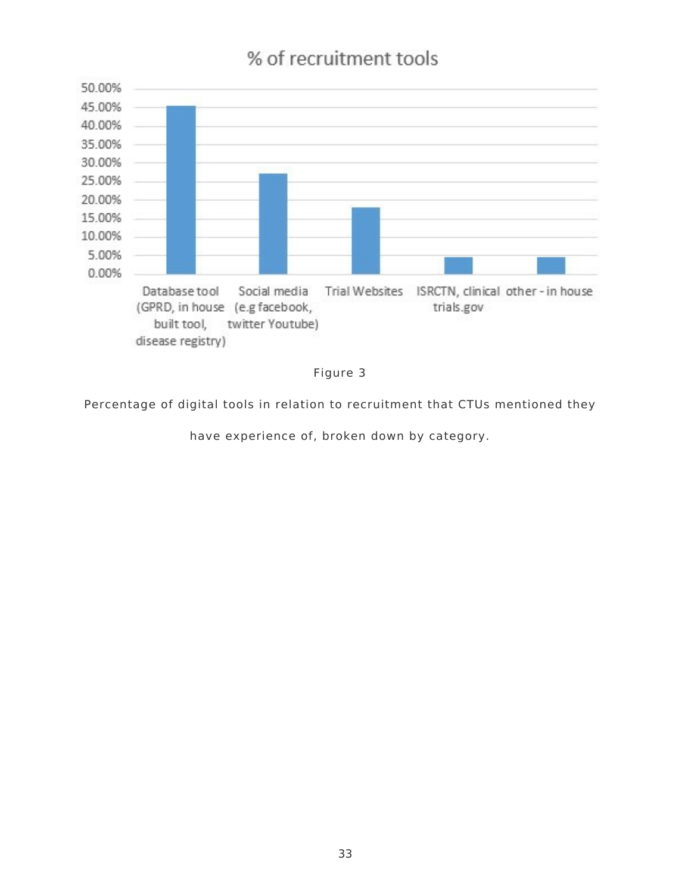# % of recruitment tools





Percentage of digital tools in relation to recruitment that CTUs mentioned they

have experience of, broken down by category.